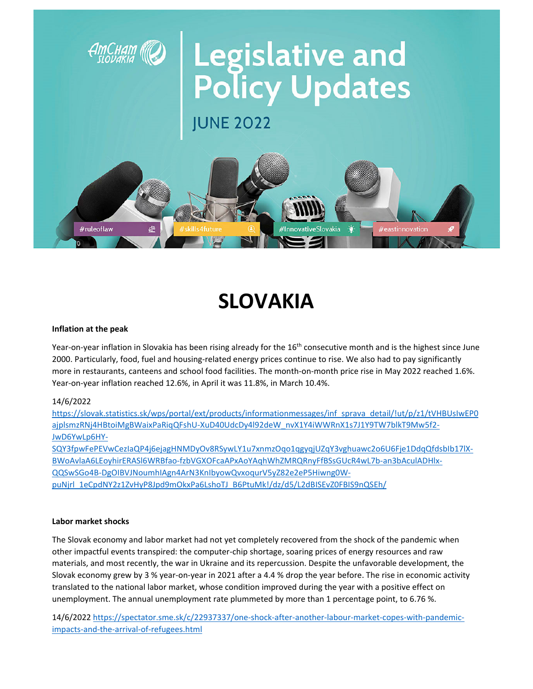

# **SLOVAKIA**

#### Inflation at the peak

Year-on-year inflation in Slovakia has been rising already for the 16<sup>th</sup> consecutive month and is the highest since June 2000. Particularly, food, fuel and housing-related energy prices continue to rise. We also had to pay significantly more in restaurants, canteens and school food facilities. The month-on-month price rise in May 2022 reached 1.6%. Year-on-year inflation reached 12.6%, in April it was 11.8%, in March 10.4%.

#### 14/6/2022

https://slovak.statistics.sk/wps/portal/ext/products/informationmessages/inf sprava detail/lut/p/z1/tVHBUsIwEP0 ajplsmzRNj4HBtoiMgBWaixPaRiqQFshU-XuD40UdcDy4l92deW nvX1Y4iWWRnX1s7J1Y9TW7blkT9Mw5f2-JwD6YwLp6HY-

SQY3fpwFePEVwCezIaQP4j6ejagHNMDyOv8RSywLY1u7xnmzOqo1qgyqjUZqY3vghuawc2o6U6Fje1DdqQfdsblb17lX-BWoAvlaA6LEoyhirERASI6WRBfao-fzbVGXOFcaAPxAoYAqhWhZMRQRnyFfBSsGUcR4wL7b-an3bAculADHlx-QQSwSGo4B-DgOIBVJNoumhIAgn4ArN3KnIbyowQvxoqurV5yZ82e2eP5Hiwng0WpuNjrl 1eCpdNY2z1ZvHyP8Jpd9mOkxPa6LshoTJ B6PtuMk!/dz/d5/L2dBISEvZ0FBIS9nQSEh/

#### Labor market shocks

The Slovak economy and labor market had not yet completely recovered from the shock of the pandemic when other impactful events transpired: the computer-chip shortage, soaring prices of energy resources and raw materials, and most recently, the war in Ukraine and its repercussion. Despite the unfavorable development, the Slovak economy grew by 3 % year-on-year in 2021 after a 4.4 % drop the year before. The rise in economic activity translated to the national labor market, whose condition improved during the year with a positive effect on unemployment. The annual unemployment rate plummeted by more than 1 percentage point, to 6.76 %.

14/6/2022 https://spectator.sme.sk/c/22937337/one-shock-after-another-labour-market-copes-with-pandemicimpacts-and-the-arrival-of-refugees.html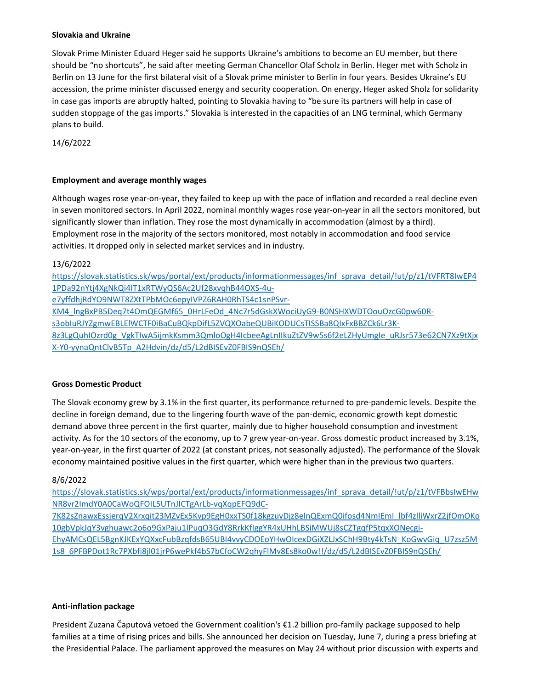#### **Slovakia and Ukraine**

Slovak Prime Minister Eduard Heger said he supports Ukraine's ambitions to become an EU member, but there should be "no shortcuts", he said after meeting German Chancellor Olaf Scholz in Berlin. Heger met with Scholz in Berlin on 13 June for the first bilateral visit of a Slovak prime minister to Berlin in four years. Besides Ukraine's EU accession, the prime minister discussed energy and security cooperation. On energy, Heger asked Sholz for solidarity in case gas imports are abruptly halted, pointing to Slovakia having to "be sure its partners will help in case of sudden stoppage of the gas imports." Slovakia is interested in the capacities of an LNG terminal, which Germany plans to build.

14/6/2022

#### **Employment and average monthly wages**

Although wages rose year‐on‐year, they failed to keep up with the pace of inflation and recorded a real decline even in seven monitored sectors. In April 2022, nominal monthly wages rose year-on-year in all the sectors monitored, but significantly slower than inflation. They rose the most dynamically in accommodation (almost by a third). Employment rose in the majority of the sectors monitored, most notably in accommodation and food service activities. It dropped only in selected market services and in industry.

## 13/6/2022

https://slovak.statistics.sk/wps/portal/ext/products/informationmessages/inf\_sprava\_detail/!ut/p/z1/tVFRT8IwEP4 1PDa92nYtj4XgNkQi4IT1xRTWyQS6Ac2Uf28xvqhB44OXS‐4u‐ e7yffdhjRdYO9NWT8ZXtTPbMOc6epyIVPZ6RAH0RhTS4c1snPSvr‐ KM4\_lngBxPB5Deq7t4OmQEGMf65\_0HrLFeOd\_4Nc7r5dGskXWociUyG9-B0NSHXWDTOouOzcG0pw60Rs3obIuRJYZgmwEBLElWCTF0iBaCuBQkpDifL5ZVQXOabeQUBiKODUCsTISSBa8QIxFxBBZCk6Lr3K‐ 8z3LgQuhIOzrd0g\_VgkTIwA5ijmkKsmm3QmloOgH4IcbeeAgLnIIkuZtZV9w5s6f2eLZHyUmgIe\_uRJsr573e62CN7Xz9tXjx X‐Y0‐yynaQntClvB5Tp\_A2Hdvin/dz/d5/L2dBISEvZ0FBIS9nQSEh/

#### **Gross Domestic Product**

The Slovak economy grew by 3.1% in the first quarter, its performance returned to pre‐pandemic levels. Despite the decline in foreign demand, due to the lingering fourth wave of the pan-demic, economic growth kept domestic demand above three percent in the first quarter, mainly due to higher household consumption and investment activity. As for the 10 sectors of the economy, up to 7 grew year-on-year. Gross domestic product increased by 3.1%, year-on-year, in the first quarter of 2022 (at constant prices, not seasonally adjusted). The performance of the Slovak economy maintained positive values in the first quarter, which were higher than in the previous two quarters.

## 8/6/2022

https://slovak.statistics.sk/wps/portal/ext/products/informationmessages/inf\_sprava\_detail/!ut/p/z1/tVFBbsIwEHw NR8vr2ImdY0A0CaWoQFOIL5UTnJICTgArLb‐vqXqpEFQ9dC‐

7K82sZnawxEssjerqV2Xrxqit23MZvEx5Kvp9EgH0xxTS0f18kgzuvDjz8eInQExmQ0ifosd4NmIEmI\_lbf4zlliWxrZ2jfOmOKo 10gbVpkJqY3vghuawc2o6o9GxPaju1IPuqO3GdY8RrkKfIggYR4xUHhLBSiMWUj8sCZTgqfP5tqxXONecgi‐ EhyAMCsQEL5BgnKJKExYQXxcFubBzqfdsB65UBI4vvyCDOEoYHwOIcexDGiXZLJxSChH9Bty4kTsN\_KoGwvGiq\_U7zsz5M 1s8\_6PFBPDot1Rc7PXbfi8jl01jrP6wePkf4bS7bCfoCW2qhyFlMv8Es8ko0w!!/dz/d5/L2dBISEvZ0FBIS9nQSEh/

#### **Anti‐inflation package**

President Zuzana Čaputová vetoed the Government coalition's €1.2 billion pro‐family package supposed to help families at a time of rising prices and bills. She announced her decision on Tuesday, June 7, during a press briefing at the Presidential Palace. The parliament approved the measures on May 24 without prior discussion with experts and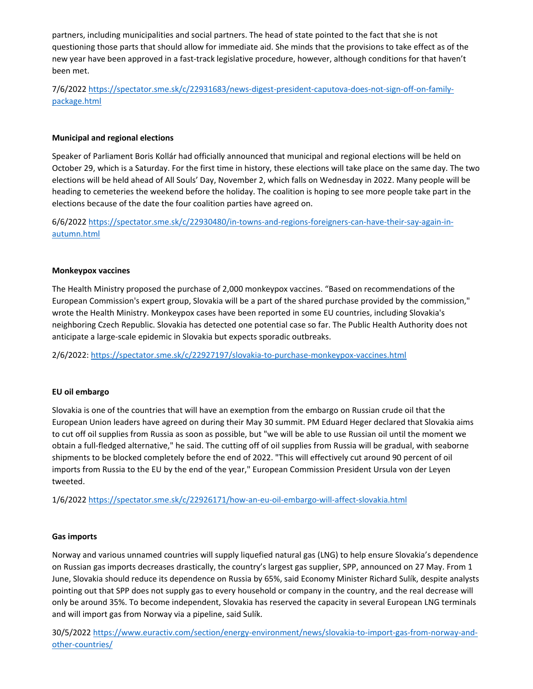partners, including municipalities and social partners. The head of state pointed to the fact that she is not questioning those parts that should allow for immediate aid. She minds that the provisions to take effect as of the new year have been approved in a fast-track legislative procedure, however, although conditions for that haven't been met.

7/6/2022 https://spectator.sme.sk/c/22931683/news‐digest‐president‐caputova‐does‐not‐sign‐off‐on‐family‐ package.html

## **Municipal and regional elections**

Speaker of Parliament Boris Kollár had officially announced that municipal and regional elections will be held on October 29, which is a Saturday. For the first time in history, these elections will take place on the same day. The two elections will be held ahead of All Souls' Day, November 2, which falls on Wednesday in 2022. Many people will be heading to cemeteries the weekend before the holiday. The coalition is hoping to see more people take part in the elections because of the date the four coalition parties have agreed on.

6/6/2022 https://spectator.sme.sk/c/22930480/in-towns-and-regions-foreigners-can-have-their-say-again-inautumn.html

#### **Monkeypox vaccines**

The Health Ministry proposed the purchase of 2,000 monkeypox vaccines. "Based on recommendations of the European Commission's expert group, Slovakia will be a part of the shared purchase provided by the commission," wrote the Health Ministry. Monkeypox cases have been reported in some EU countries, including Slovakia's neighboring Czech Republic. Slovakia has detected one potential case so far. The Public Health Authority does not anticipate a large‐scale epidemic in Slovakia but expects sporadic outbreaks.

2/6/2022: https://spectator.sme.sk/c/22927197/slovakia‐to‐purchase‐monkeypox‐vaccines.html

#### **EU oil embargo**

Slovakia is one of the countries that will have an exemption from the embargo on Russian crude oil that the European Union leaders have agreed on during their May 30 summit. PM Eduard Heger declared that Slovakia aims to cut off oil supplies from Russia as soon as possible, but "we will be able to use Russian oil until the moment we obtain a full‐fledged alternative," he said. The cutting off of oil supplies from Russia will be gradual, with seaborne shipments to be blocked completely before the end of 2022. "This will effectively cut around 90 percent of oil imports from Russia to the EU by the end of the year," European Commission President Ursula von der Leyen tweeted.

1/6/2022 https://spectator.sme.sk/c/22926171/how‐an‐eu‐oil‐embargo‐will‐affect‐slovakia.html

#### **Gas imports**

Norway and various unnamed countries will supply liquefied natural gas (LNG) to help ensure Slovakia's dependence on Russian gas imports decreases drastically, the country's largest gas supplier, SPP, announced on 27 May. From 1 June, Slovakia should reduce its dependence on Russia by 65%, said Economy Minister Richard Sulík, despite analysts pointing out that SPP does not supply gas to every household or company in the country, and the real decrease will only be around 35%. To become independent, Slovakia has reserved the capacity in several European LNG terminals and will import gas from Norway via a pipeline, said Sulík.

30/5/2022 https://www.euractiv.com/section/energy‐environment/news/slovakia‐to‐import‐gas‐from‐norway‐and‐ other-countries/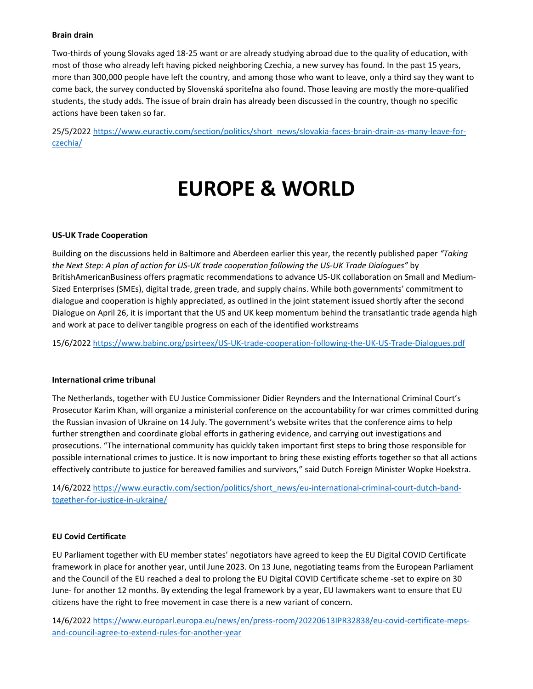#### **Brain drain**

Two‐thirds of young Slovaks aged 18‐25 want or are already studying abroad due to the quality of education, with most of those who already left having picked neighboring Czechia, a new survey has found. In the past 15 years, more than 300,000 people have left the country, and among those who want to leave, only a third say they want to come back, the survey conducted by Slovenská sporiteľna also found. Those leaving are mostly the more‐qualified students, the study adds. The issue of brain drain has already been discussed in the country, though no specific actions have been taken so far.

25/5/2022 https://www.euractiv.com/section/politics/short\_news/slovakia‐faces‐brain‐drain‐as‐many‐leave‐for‐ czechia/

## **EUROPE & WORLD**

#### **US‐UK Trade Cooperation**

Building on the discussions held in Baltimore and Aberdeen earlier this year, the recently published paper *"Taking* the Next Step: A plan of action for US-UK trade cooperation following the US-UK Trade Dialogues" by BritishAmericanBusiness offers pragmatic recommendations to advance US‐UK collaboration on Small and Medium‐ Sized Enterprises (SMEs), digital trade, green trade, and supply chains. While both governments' commitment to dialogue and cooperation is highly appreciated, as outlined in the joint statement issued shortly after the second Dialogue on April 26, it is important that the US and UK keep momentum behind the transatlantic trade agenda high and work at pace to deliver tangible progress on each of the identified workstreams

15/6/2022 https://www.babinc.org/psirteex/US‐UK‐trade‐cooperation‐following‐the‐UK‐US‐Trade‐Dialogues.pdf

#### **International crime tribunal**

The Netherlands, together with EU Justice Commissioner Didier Reynders and the International Criminal Court's Prosecutor Karim Khan, will organize a ministerial conference on the accountability for war crimes committed during the Russian invasion of Ukraine on 14 July. The government's website writes that the conference aims to help further strengthen and coordinate global efforts in gathering evidence, and carrying out investigations and prosecutions. "The international community has quickly taken important first steps to bring those responsible for possible international crimes to justice. It is now important to bring these existing efforts together so that all actions effectively contribute to justice for bereaved families and survivors," said Dutch Foreign Minister Wopke Hoekstra.

14/6/2022 https://www.euractiv.com/section/politics/short\_news/eu-international-criminal-court-dutch-bandtogether‐for‐justice‐in‐ukraine/

## **EU Covid Certificate**

EU Parliament together with EU member states' negotiators have agreed to keep the EU Digital COVID Certificate framework in place for another year, until June 2023. On 13 June, negotiating teams from the European Parliament and the Council of the EU reached a deal to prolong the EU Digital COVID Certificate scheme ‐set to expire on 30 June‐ for another 12 months. By extending the legal framework by a year, EU lawmakers want to ensure that EU citizens have the right to free movement in case there is a new variant of concern.

14/6/2022 https://www.europarl.europa.eu/news/en/press-room/20220613IPR32838/eu-covid-certificate-mepsand‐council‐agree‐to‐extend‐rules‐for‐another‐year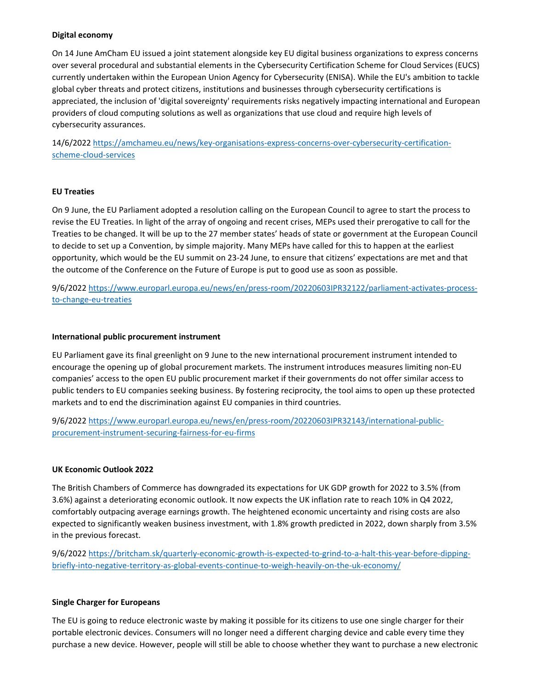## **Digital economy**

On 14 June AmCham EU issued a joint statement alongside key EU digital business organizations to express concerns over several procedural and substantial elements in the Cybersecurity Certification Scheme for Cloud Services (EUCS) currently undertaken within the European Union Agency for Cybersecurity (ENISA). While the EU's ambition to tackle global cyber threats and protect citizens, institutions and businesses through cybersecurity certifications is appreciated, the inclusion of 'digital sovereignty' requirements risks negatively impacting international and European providers of cloud computing solutions as well as organizations that use cloud and require high levels of cybersecurity assurances.

14/6/2022 https://amchameu.eu/news/key‐organisations‐express‐concerns‐over‐cybersecurity‐certification‐ scheme‐cloud‐services

## **EU Treaties**

On 9 June, the EU Parliament adopted a resolution calling on the European Council to agree to start the process to revise the EU Treaties. In light of the array of ongoing and recent crises, MEPs used their prerogative to call for the Treaties to be changed. It will be up to the 27 member states' heads of state or government at the European Council to decide to set up a Convention, by simple majority. Many MEPs have called for this to happen at the earliest opportunity, which would be the EU summit on 23‐24 June, to ensure that citizens' expectations are met and that the outcome of the Conference on the Future of Europe is put to good use as soon as possible.

9/6/2022 https://www.europarl.europa.eu/news/en/press-room/20220603IPR32122/parliament-activates-processto‐change‐eu‐treaties

#### **International public procurement instrument**

EU Parliament gave its final greenlight on 9 June to the new international procurement instrument intended to encourage the opening up of global procurement markets. The instrument introduces measures limiting non‐EU companies' access to the open EU public procurement market if their governments do not offer similar access to public tenders to EU companies seeking business. By fostering reciprocity, the tool aims to open up these protected markets and to end the discrimination against EU companies in third countries.

9/6/2022 https://www.europarl.europa.eu/news/en/press-room/20220603IPR32143/international-publicprocurement‐instrument‐securing‐fairness‐for‐eu‐firms

#### **UK Economic Outlook 2022**

The British Chambers of Commerce has downgraded its expectations for UK GDP growth for 2022 to 3.5% (from 3.6%) against a deteriorating economic outlook. It now expects the UK inflation rate to reach 10% in Q4 2022, comfortably outpacing average earnings growth. The heightened economic uncertainty and rising costs are also expected to significantly weaken business investment, with 1.8% growth predicted in 2022, down sharply from 3.5% in the previous forecast.

9/6/2022 https://britcham.sk/quarterly-economic-growth-is-expected-to-grind-to-a-halt-this-year-before-dippingbriefly‐into‐negative‐territory‐as‐global‐events‐continue‐to‐weigh‐heavily‐on‐the‐uk‐economy/

## **Single Charger for Europeans**

The EU is going to reduce electronic waste by making it possible for its citizens to use one single charger for their portable electronic devices. Consumers will no longer need a different charging device and cable every time they purchase a new device. However, people will still be able to choose whether they want to purchase a new electronic